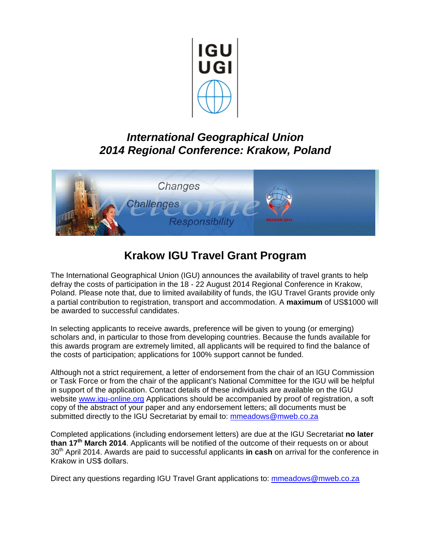

### *International Geographical Union 2014 Regional Conference: Krakow, Poland*



## **Krakow IGU Travel Grant Program**

The International Geographical Union (IGU) announces the availability of travel grants to help defray the costs of participation in the 18 - 22 August 2014 Regional Conference in Krakow, Poland. Please note that, due to limited availability of funds, the IGU Travel Grants provide only a partial contribution to registration, transport and accommodation. A **maximum** of US\$1000 will be awarded to successful candidates.

In selecting applicants to receive awards, preference will be given to young (or emerging) scholars and, in particular to those from developing countries. Because the funds available for this awards program are extremely limited, all applicants will be required to find the balance of the costs of participation; applications for 100% support cannot be funded.

Although not a strict requirement, a letter of endorsement from the chair of an IGU Commission or Task Force or from the chair of the applicant's National Committee for the IGU will be helpful in support of the application. Contact details of these individuals are available on the IGU website [www.igu-online.org](http://www.igu-online.org/) Applications should be accompanied by proof of registration, a soft copy of the abstract of your paper and any endorsement letters; all documents must be submitted directly to the IGU Secretariat by email to: [mmeadows@mweb.co.za](mailto:mmeadows@mweb.co.za)

Completed applications (including endorsement letters) are due at the IGU Secretariat **no later than 17th March 2014**. Applicants will be notified of the outcome of their requests on or about 30<sup>th</sup> April 2014. Awards are paid to successful applicants in cash on arrival for the conference in Krakow in US\$ dollars.

Direct any questions regarding IGU Travel Grant applications to: [mmeadows@mweb.co.za](mailto:mmeadows@mweb.co.za)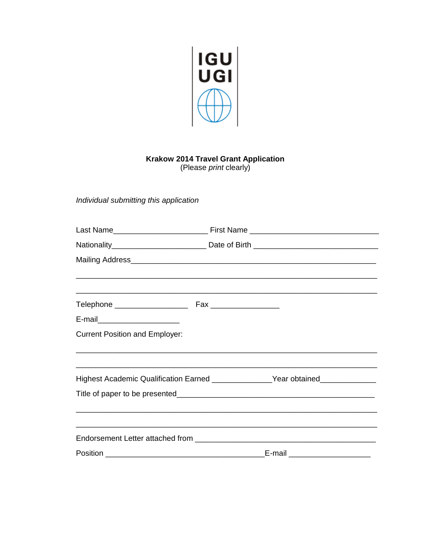

# Krakow 2014 Travel Grant Application<br>(Please print clearly)

Individual submitting this application

| E-mail___________________________                                                |  |                                |
|----------------------------------------------------------------------------------|--|--------------------------------|
| <b>Current Position and Employer:</b>                                            |  |                                |
|                                                                                  |  |                                |
|                                                                                  |  |                                |
| Highest Academic Qualification Earned ________________Year obtained_____________ |  |                                |
|                                                                                  |  |                                |
|                                                                                  |  |                                |
|                                                                                  |  |                                |
|                                                                                  |  |                                |
|                                                                                  |  | E-mail _______________________ |